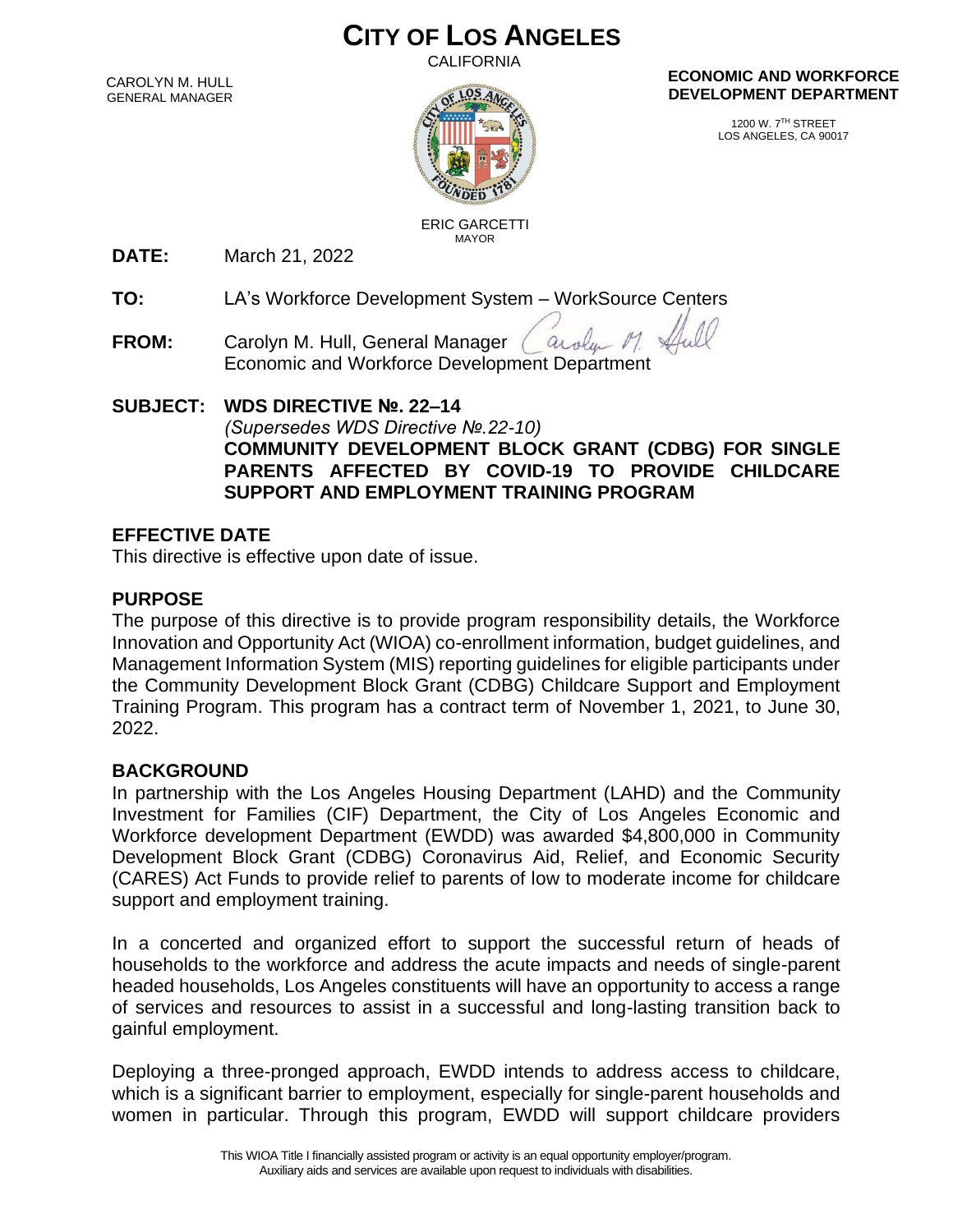# **CITY OF LOS ANGELES**

CALIFORNIA

CAROLYN M. HULL GENERAL MANAGER



#### **ECONOMIC AND WORKFORCE DEVELOPMENT DEPARTMENT**

1200 W. 7TH STREET LOS ANGELES, CA 90017

 ERIC GARCETTI MAYOR

**DATE:** March 21, 2022

**TO:** LA's Workforce Development System – WorkSource Centers

**FROM:** Carolyn M. Hull, General Manager aroly Economic and Workforce Development Department

**SUBJECT: WDS DIRECTIVE №. 22–14** *(Supersedes WDS Directive №.22-10)* **COMMUNITY DEVELOPMENT BLOCK GRANT (CDBG) FOR SINGLE PARENTS AFFECTED BY COVID-19 TO PROVIDE CHILDCARE SUPPORT AND EMPLOYMENT TRAINING PROGRAM**

### **EFFECTIVE DATE**

This directive is effective upon date of issue.

### **PURPOSE**

The purpose of this directive is to provide program responsibility details, the Workforce Innovation and Opportunity Act (WIOA) co-enrollment information, budget guidelines, and Management Information System (MIS) reporting guidelines for eligible participants under the Community Development Block Grant (CDBG) Childcare Support and Employment Training Program. This program has a contract term of November 1, 2021, to June 30, 2022.

#### **BACKGROUND**

In partnership with the Los Angeles Housing Department (LAHD) and the Community Investment for Families (CIF) Department, the City of Los Angeles Economic and Workforce development Department (EWDD) was awarded \$4,800,000 in Community Development Block Grant (CDBG) Coronavirus Aid, Relief, and Economic Security (CARES) Act Funds to provide relief to parents of low to moderate income for childcare support and employment training.

In a concerted and organized effort to support the successful return of heads of households to the workforce and address the acute impacts and needs of single-parent headed households, Los Angeles constituents will have an opportunity to access a range of services and resources to assist in a successful and long-lasting transition back to gainful employment.

Deploying a three-pronged approach, EWDD intends to address access to childcare, which is a significant barrier to employment, especially for single-parent households and women in particular. Through this program, EWDD will support childcare providers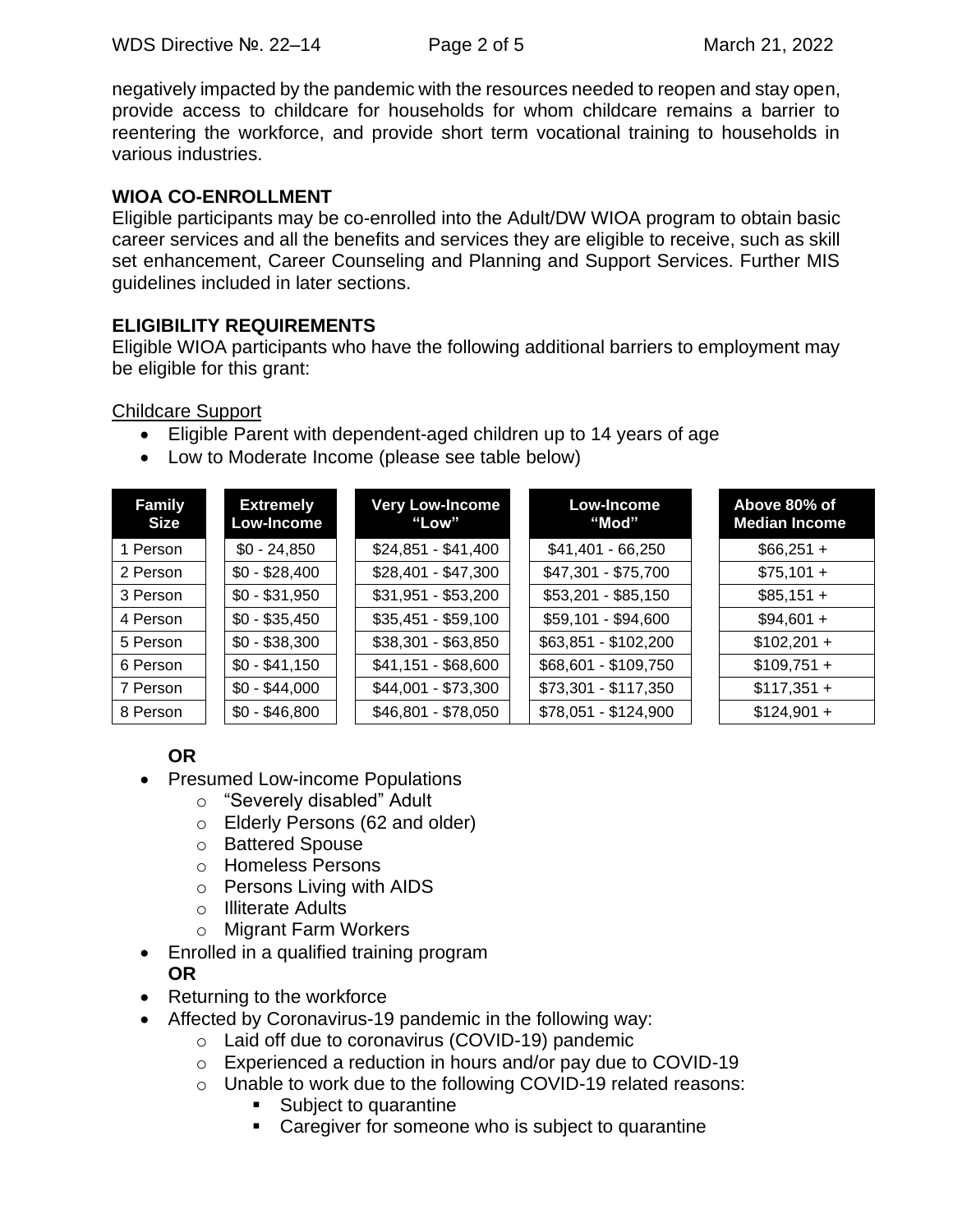negatively impacted by the pandemic with the resources needed to reopen and stay open, provide access to childcare for households for whom childcare remains a barrier to reentering the workforce, and provide short term vocational training to households in various industries.

### **WIOA CO-ENROLLMENT**

Eligible participants may be co-enrolled into the Adult/DW WIOA program to obtain basic career services and all the benefits and services they are eligible to receive, such as skill set enhancement, Career Counseling and Planning and Support Services. Further MIS guidelines included in later sections.

### **ELIGIBILITY REQUIREMENTS**

Eligible WIOA participants who have the following additional barriers to employment may be eligible for this grant:

Childcare Support

- Eligible Parent with dependent-aged children up to 14 years of age
- Low to Moderate Income (please see table below)

| <b>Family</b><br><b>Size</b> | <b>Extremely</b><br>Low-Income | <b>Very Low-Income</b><br>"Low" | Low-Income<br>"Mod"  | Above 80% of<br><b>Median Income</b> |
|------------------------------|--------------------------------|---------------------------------|----------------------|--------------------------------------|
| 1 Person                     | $$0 - 24,850$                  | $$24,851 - $41,400$             | $$41,401 - 66,250$   | $$66,251 +$                          |
| 2 Person                     | $$0 - $28,400$                 | $$28,401 - $47,300$             | \$47,301 - \$75,700  | $$75,101 +$                          |
| 3 Person                     | $$0 - $31,950$                 | $$31,951 - $53,200$             | $$53,201 - $85,150$  | $$85,151 +$                          |
| 4 Person                     | $$0 - $35,450$                 | $$35,451 - $59,100$             | \$59,101 - \$94,600  | $$94,601 +$                          |
| 5 Person                     | $$0 - $38,300$                 | $$38,301 - $63,850$             | \$63,851 - \$102,200 | $$102,201 +$                         |
| 6 Person                     | $$0 - $41,150$                 | $$41,151 - $68,600$             | \$68,601 - \$109,750 | $$109,751 +$                         |
| 7 Person                     | $$0 - $44,000$                 | \$44,001 - \$73,300             | $$73,301 - $117,350$ | $$117,351 +$                         |
| 8 Person                     | $$0 - $46,800$                 | \$46,801 - \$78,050             | $$78,051 - $124,900$ | $$124,901 +$                         |

### **OR**

- Presumed Low-income Populations
	- o "Severely disabled" Adult
	- o Elderly Persons (62 and older)
	- o Battered Spouse
	- o Homeless Persons
	- o Persons Living with AIDS
	- o Illiterate Adults
	- o Migrant Farm Workers
- Enrolled in a qualified training program **OR**
- Returning to the workforce
- Affected by Coronavirus-19 pandemic in the following way:
	- o Laid off due to coronavirus (COVID-19) pandemic
	- o Experienced a reduction in hours and/or pay due to COVID-19
	- o Unable to work due to the following COVID-19 related reasons:
		- Subject to quarantine
		- Caregiver for someone who is subject to quarantine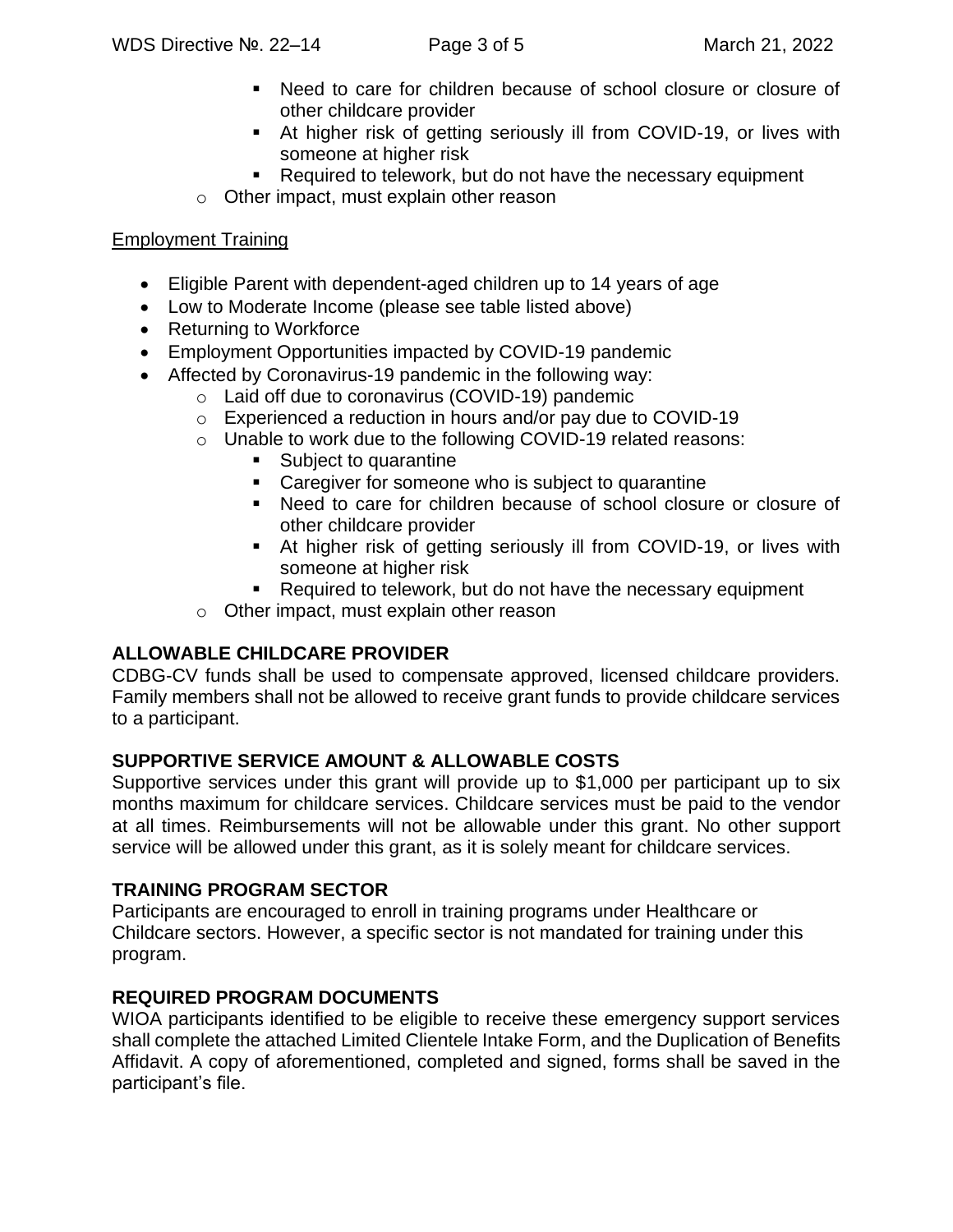- Need to care for children because of school closure or closure of other childcare provider
- At higher risk of getting seriously ill from COVID-19, or lives with someone at higher risk
- Required to telework, but do not have the necessary equipment
- o Other impact, must explain other reason

### Employment Training

- Eligible Parent with dependent-aged children up to 14 years of age
- Low to Moderate Income (please see table listed above)
- Returning to Workforce
- Employment Opportunities impacted by COVID-19 pandemic
- Affected by Coronavirus-19 pandemic in the following way:
	- o Laid off due to coronavirus (COVID-19) pandemic
	- o Experienced a reduction in hours and/or pay due to COVID-19
	- o Unable to work due to the following COVID-19 related reasons:
		- Subject to quarantine
		- Caregiver for someone who is subject to quarantine
		- Need to care for children because of school closure or closure of other childcare provider
		- At higher risk of getting seriously ill from COVID-19, or lives with someone at higher risk
		- Required to telework, but do not have the necessary equipment
	- o Other impact, must explain other reason

## **ALLOWABLE CHILDCARE PROVIDER**

CDBG-CV funds shall be used to compensate approved, licensed childcare providers. Family members shall not be allowed to receive grant funds to provide childcare services to a participant.

### **SUPPORTIVE SERVICE AMOUNT & ALLOWABLE COSTS**

Supportive services under this grant will provide up to \$1,000 per participant up to six months maximum for childcare services. Childcare services must be paid to the vendor at all times. Reimbursements will not be allowable under this grant. No other support service will be allowed under this grant, as it is solely meant for childcare services.

### **TRAINING PROGRAM SECTOR**

Participants are encouraged to enroll in training programs under Healthcare or Childcare sectors. However, a specific sector is not mandated for training under this program.

### **REQUIRED PROGRAM DOCUMENTS**

WIOA participants identified to be eligible to receive these emergency support services shall complete the attached Limited Clientele Intake Form, and the Duplication of Benefits Affidavit. A copy of aforementioned, completed and signed, forms shall be saved in the participant's file.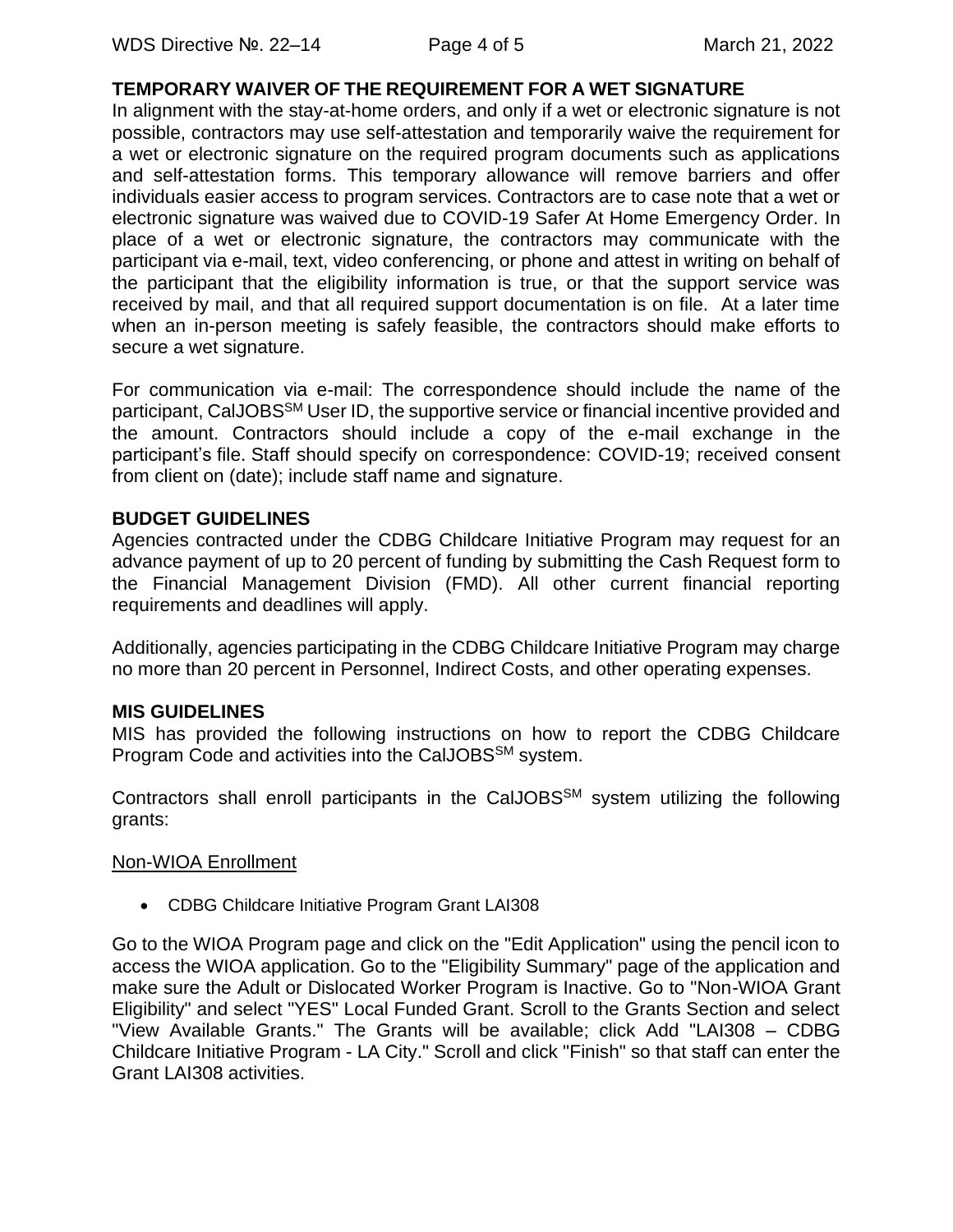### **TEMPORARY WAIVER OF THE REQUIREMENT FOR A WET SIGNATURE**

In alignment with the stay-at-home orders, and only if a wet or electronic signature is not possible, contractors may use self-attestation and temporarily waive the requirement for a wet or electronic signature on the required program documents such as applications and self-attestation forms. This temporary allowance will remove barriers and offer individuals easier access to program services. Contractors are to case note that a wet or electronic signature was waived due to COVID-19 Safer At Home Emergency Order. In place of a wet or electronic signature, the contractors may communicate with the participant via e-mail, text, video conferencing, or phone and attest in writing on behalf of the participant that the eligibility information is true, or that the support service was received by mail, and that all required support documentation is on file. At a later time when an in-person meeting is safely feasible, the contractors should make efforts to secure a wet signature.

For communication via e-mail: The correspondence should include the name of the participant, CalJOBS<sup>SM</sup> User ID, the supportive service or financial incentive provided and the amount. Contractors should include a copy of the e-mail exchange in the participant's file. Staff should specify on correspondence: COVID-19; received consent from client on (date); include staff name and signature.

#### **BUDGET GUIDELINES**

Agencies contracted under the CDBG Childcare Initiative Program may request for an advance payment of up to 20 percent of funding by submitting the Cash Request form to the Financial Management Division (FMD). All other current financial reporting requirements and deadlines will apply.

Additionally, agencies participating in the CDBG Childcare Initiative Program may charge no more than 20 percent in Personnel, Indirect Costs, and other operating expenses.

### **MIS GUIDELINES**

MIS has provided the following instructions on how to report the CDBG Childcare Program Code and activities into the CalJOBS<sup>SM</sup> system.

Contractors shall enroll participants in the CalJOBS<sup>SM</sup> system utilizing the following grants:

#### Non-WIOA Enrollment

• CDBG Childcare Initiative Program Grant LAI308

Go to the WIOA Program page and click on the "Edit Application" using the pencil icon to access the WIOA application. Go to the "Eligibility Summary" page of the application and make sure the Adult or Dislocated Worker Program is Inactive. Go to "Non-WIOA Grant Eligibility" and select "YES" Local Funded Grant. Scroll to the Grants Section and select "View Available Grants." The Grants will be available; click Add "LAI308 – CDBG Childcare Initiative Program - LA City." Scroll and click "Finish" so that staff can enter the Grant LAI308 activities.